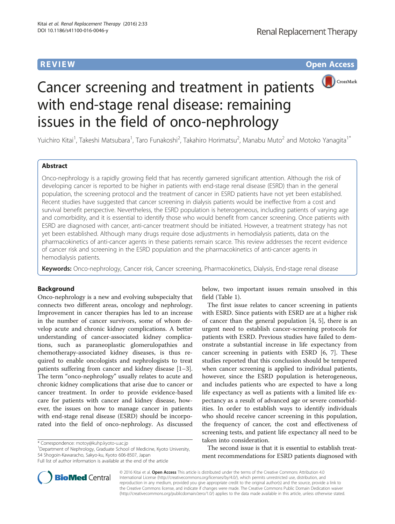# **REVIEW CONSTRUCTION CONSTRUCTION CONSTRUCTS**



# Cancer screening and treatment in patients with end-stage renal disease: remaining issues in the field of onco-nephrology

Yuichiro Kitai<sup>1</sup>, Takeshi Matsubara<sup>1</sup>, Taro Funakoshi<sup>2</sup>, Takahiro Horimatsu<sup>2</sup>, Manabu Muto<sup>2</sup> and Motoko Yanagita<sup>1\*</sup>

# Abstract

Onco-nephrology is a rapidly growing field that has recently garnered significant attention. Although the risk of developing cancer is reported to be higher in patients with end-stage renal disease (ESRD) than in the general population, the screening protocol and the treatment of cancer in ESRD patients have not yet been established. Recent studies have suggested that cancer screening in dialysis patients would be ineffective from a cost and survival benefit perspective. Nevertheless, the ESRD population is heterogeneous, including patients of varying age and comorbidity, and it is essential to identify those who would benefit from cancer screening. Once patients with ESRD are diagnosed with cancer, anti-cancer treatment should be initiated. However, a treatment strategy has not yet been established. Although many drugs require dose adjustments in hemodialysis patients, data on the pharmacokinetics of anti-cancer agents in these patients remain scarce. This review addresses the recent evidence of cancer risk and screening in the ESRD population and the pharmacokinetics of anti-cancer agents in hemodialysis patients.

Keywords: Onco-nephrology, Cancer risk, Cancer screening, Pharmacokinetics, Dialysis, End-stage renal disease

# Background

Onco-nephrology is a new and evolving subspecialty that connects two different areas, oncology and nephrology. Improvement in cancer therapies has led to an increase in the number of cancer survivors, some of whom develop acute and chronic kidney complications. A better understanding of cancer-associated kidney complications, such as paraneoplastic glomerulopathies and chemotherapy-associated kidney diseases, is thus required to enable oncologists and nephrologists to treat patients suffering from cancer and kidney disease [\[1](#page-6-0)–[3](#page-7-0)]. The term "onco-nephrology" usually relates to acute and chronic kidney complications that arise due to cancer or cancer treatment. In order to provide evidence-based care for patients with cancer and kidney disease, however, the issues on how to manage cancer in patients with end-stage renal disease (ESRD) should be incorporated into the field of onco-nephrology. As discussed

Department of Nephrology, Graduate School of Medicine, Kyoto University, 54 Shogoin-Kawaracho, Sakyo-ku, Kyoto 606-8507, Japan

below, two important issues remain unsolved in this field (Table [1](#page-1-0)).

The first issue relates to cancer screening in patients with ESRD. Since patients with ESRD are at a higher risk of cancer than the general population [\[4](#page-7-0), [5](#page-7-0)], there is an urgent need to establish cancer-screening protocols for patients with ESRD. Previous studies have failed to demonstrate a substantial increase in life expectancy from cancer screening in patients with ESRD [[6](#page-7-0), [7\]](#page-7-0). These studies reported that this conclusion should be tempered when cancer screening is applied to individual patients, however, since the ESRD population is heterogeneous, and includes patients who are expected to have a long life expectancy as well as patients with a limited life expectancy as a result of advanced age or severe comorbidities. In order to establish ways to identify individuals who should receive cancer screening in this population, the frequency of cancer, the cost and effectiveness of screening tests, and patient life expectancy all need to be taken into consideration.

The second issue is that it is essential to establish treatment recommendations for ESRD patients diagnosed with



© 2016 Kitai et al. Open Access This article is distributed under the terms of the Creative Commons Attribution 4.0 International License [\(http://creativecommons.org/licenses/by/4.0/](http://creativecommons.org/licenses/by/4.0/)), which permits unrestricted use, distribution, and reproduction in any medium, provided you give appropriate credit to the original author(s) and the source, provide a link to the Creative Commons license, and indicate if changes were made. The Creative Commons Public Domain Dedication waiver [\(http://creativecommons.org/publicdomain/zero/1.0/](http://creativecommons.org/publicdomain/zero/1.0/)) applies to the data made available in this article, unless otherwise stated.

<sup>\*</sup> Correspondence: [motoy@kuhp.kyoto-u.ac.jp](mailto:motoy@kuhp.kyoto-u.ac.jp) <sup>1</sup>

Full list of author information is available at the end of the article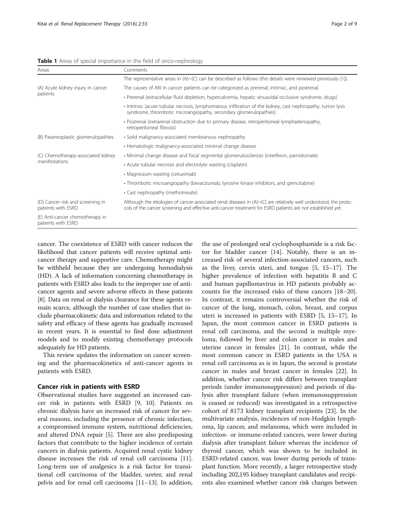#### <span id="page-1-0"></span>Table 1 Areas of special importance in the field of onco-nephrology

| Areas                                                  | Comments                                                                                                                                                                                                                                |  |  |
|--------------------------------------------------------|-----------------------------------------------------------------------------------------------------------------------------------------------------------------------------------------------------------------------------------------|--|--|
|                                                        | The representative areas in $(A) \sim (C)$ can be described as follows (the details were reviewed previously [1]).                                                                                                                      |  |  |
| (A) Acute kidney injury in cancer                      | The causes of AKI in cancer patients can be categorized as prerenal, intrinsic, and postrenal.                                                                                                                                          |  |  |
| patients                                               | · Prerenal (extracellular fluid depletion, hypercalcemia, hepatic sinusoidal occlusive syndrome, drugs)                                                                                                                                 |  |  |
|                                                        | · Intrinsic (acute tubular necrosis, lymphomatous infiltration of the kidney, cast nephropathy, tumor lysis<br>syndrome, thrombotic microangiopathy, secondary glomerulopathies)                                                        |  |  |
|                                                        | • Postrenal (extrarenal obstruction due to primary disease, retroperitoneal lymphadenopathy,<br>retroperitoneal fibrosis)                                                                                                               |  |  |
| (B) Paraneoplastic glomerulopathies                    | • Solid malignancy-associated membranous nephropathy                                                                                                                                                                                    |  |  |
|                                                        | • Hematologic malignancy-associated minimal change disease                                                                                                                                                                              |  |  |
| (C) Chemotherapy-associated kidney                     | · Minimal change disease and focal segmental glomerulosclerosis (interferon, pamidronate)                                                                                                                                               |  |  |
| manifestations                                         | • Acute tubular necrosis and electrolyte wasting (cisplatin)                                                                                                                                                                            |  |  |
|                                                        | • Magnesium wasting (cetuximab)                                                                                                                                                                                                         |  |  |
|                                                        | • Thrombotic microangiopathy (bevacizumab, tyrosine kinase inhibitors, and gemcitabine)                                                                                                                                                 |  |  |
|                                                        | • Cast nephropathy (methotrexate)                                                                                                                                                                                                       |  |  |
| (D) Cancer risk and screening in<br>patients with ESRD | Although the etiologies of cancer-associated renal diseases in $(A) \sim (C)$ are relatively well understood, the proto-<br>cols of the cancer screening and effective anti-cancer treatment for ESRD patients are not established yet. |  |  |
| (E) Anti-cancer chemotherapy in<br>patients with ESRD  |                                                                                                                                                                                                                                         |  |  |

cancer. The coexistence of ESRD with cancer reduces the likelihood that cancer patients will receive optimal anticancer therapy and supportive care. Chemotherapy might be withheld because they are undergoing hemodialysis (HD). A lack of information concerning chemotherapy in patients with ESRD also leads to the improper use of anticancer agents and severe adverse effects in these patients [[8\]](#page-7-0). Data on renal or dialysis clearance for these agents remain scarce, although the number of case studies that include pharmacokinetic data and information related to the safety and efficacy of these agents has gradually increased in recent years. It is essential to find dose adjustment models and to modify existing chemotherapy protocols adequately for HD patients.

This review updates the information on cancer screening and the pharmacokinetics of anti-cancer agents in patients with ESRD.

# Cancer risk in patients with ESRD

Observational studies have suggested an increased cancer risk in patients with ESRD [[9, 10\]](#page-7-0). Patients on chronic dialysis have an increased risk of cancer for several reasons, including the presence of chronic infection, a compromised immune system, nutritional deficiencies, and altered DNA repair [\[5](#page-7-0)]. There are also predisposing factors that contribute to the higher incidence of certain cancers in dialysis patients. Acquired renal cystic kidney disease increases the risk of renal cell carcinoma [\[11](#page-7-0)]. Long-term use of analgesics is a risk factor for transitional cell carcinoma of the bladder, ureter, and renal pelvis and for renal cell carcinoma [\[11](#page-7-0)–[13\]](#page-7-0). In addition,

the use of prolonged oral cyclophosphamide is a risk factor for bladder cancer [[14\]](#page-7-0). Notably, there is an increased risk of several infection-associated cancers, such as the liver, cervix uteri, and tongue [[5, 15](#page-7-0)–[17\]](#page-7-0). The higher prevalence of infection with hepatitis B and C and human papillomavirus in HD patients probably accounts for the increased risks of these cancers [[18](#page-7-0)–[20](#page-7-0)]. In contrast, it remains controversial whether the risk of cancer of the lung, stomach, colon, breast, and corpus uteri is increased in patients with ESRD [\[5](#page-7-0), [15](#page-7-0)–[17](#page-7-0)]. In Japan, the most common cancer in ESRD patients is renal cell carcinoma, and the second is multiple myeloma, followed by liver and colon cancer in males and uterine cancer in females [\[21](#page-7-0)]. In contrast, while the most common cancer in ESRD patients in the USA is renal cell carcinoma as is in Japan, the second is prostate cancer in males and breast cancer in females [[22\]](#page-7-0). In addition, whether cancer risk differs between transplant periods (under immunosuppression) and periods of dialysis after transplant failure (when immunosuppression is ceased or reduced) was investigated in a retrospective cohort of 8173 kidney transplant recipients [[23\]](#page-7-0). In the multivariate analysis, incidences of non-Hodgkin lymphoma, lip cancer, and melanoma, which were included in infection- or immune-related cancers, were lower during dialysis after transplant failure whereas the incidence of thyroid cancer, which was shown to be included in ESRD-related cancer, was lower during periods of transplant function. More recently, a larger retrospective study including 202,195 kidney transplant candidates and recipients also examined whether cancer risk changes between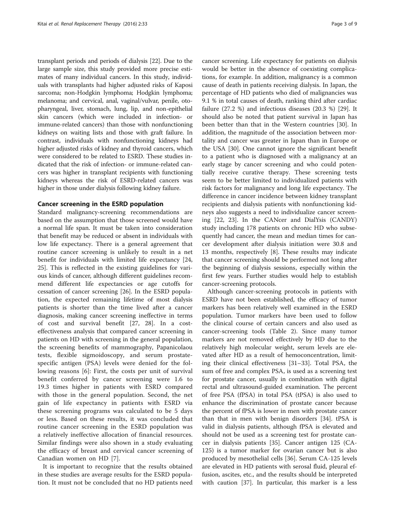transplant periods and periods of dialysis [[22\]](#page-7-0). Due to the large sample size, this study provided more precise estimates of many individual cancers. In this study, individuals with transplants had higher adjusted risks of Kaposi sarcoma; non-Hodgkin lymphoma; Hodgkin lymphoma; melanoma; and cervical, anal, vaginal/vulvar, penile, otopharyngeal, liver, stomach, lung, lip, and non-epithelial skin cancers (which were included in infection- or immune-related cancers) than those with nonfunctioning kidneys on waiting lists and those with graft failure. In contrast, individuals with nonfunctioning kidneys had higher adjusted risks of kidney and thyroid cancers, which were considered to be related to ESRD. These studies indicated that the risk of infection- or immune-related cancers was higher in transplant recipients with functioning kidneys whereas the risk of ESRD-related cancers was higher in those under dialysis following kidney failure.

#### Cancer screening in the ESRD population

Standard malignancy-screening recommendations are based on the assumption that those screened would have a normal life span. It must be taken into consideration that benefit may be reduced or absent in individuals with low life expectancy. There is a general agreement that routine cancer screening is unlikely to result in a net benefit for individuals with limited life expectancy [[24](#page-7-0), [25\]](#page-7-0). This is reflected in the existing guidelines for various kinds of cancer, although different guidelines recommend different life expectancies or age cutoffs for cessation of cancer screening [\[26](#page-7-0)]. In the ESRD population, the expected remaining lifetime of most dialysis patients is shorter than the time lived after a cancer diagnosis, making cancer screening ineffective in terms of cost and survival benefit [[27](#page-7-0), [28](#page-7-0)]. In a costeffectiveness analysis that compared cancer screening in patients on HD with screening in the general population, the screening benefits of mammography, Papanicolaou tests, flexible sigmoidoscopy, and serum prostatespecific antigen (PSA) levels were denied for the following reasons [[6\]](#page-7-0): First, the costs per unit of survival benefit conferred by cancer screening were 1.6 to 19.3 times higher in patients with ESRD compared with those in the general population. Second, the net gain of life expectancy in patients with ESRD via these screening programs was calculated to be 5 days or less. Based on these results, it was concluded that routine cancer screening in the ESRD population was a relatively ineffective allocation of financial resources. Similar findings were also shown in a study evaluating the efficacy of breast and cervical cancer screening of Canadian women on HD [[7\]](#page-7-0).

It is important to recognize that the results obtained in these studies are average results for the ESRD population. It must not be concluded that no HD patients need

cancer screening. Life expectancy for patients on dialysis would be better in the absence of coexisting complications, for example. In addition, malignancy is a common cause of death in patients receiving dialysis. In Japan, the percentage of HD patients who died of malignancies was 9.1 % in total causes of death, ranking third after cardiac failure (27.2 %) and infectious diseases (20.3 %) [[29\]](#page-7-0). It should also be noted that patient survival in Japan has been better than that in the Western countries [[30\]](#page-7-0). In addition, the magnitude of the association between mortality and cancer was greater in Japan than in Europe or the USA [\[30](#page-7-0)]. One cannot ignore the significant benefit to a patient who is diagnosed with a malignancy at an early stage by cancer screening and who could potentially receive curative therapy. These screening tests seem to be better limited to individualized patients with risk factors for malignancy and long life expectancy. The difference in cancer incidence between kidney transplant recipients and dialysis patients with nonfunctioning kidneys also suggests a need to individualize cancer screening [\[22](#page-7-0), [23](#page-7-0)]. In the CANcer and DialYsis (CANDY) study including 178 patients on chronic HD who subsequently had cancer, the mean and median times for cancer development after dialysis initiation were 30.8 and 13 months, respectively [\[8](#page-7-0)]. These results may indicate that cancer screening should be performed not long after the beginning of dialysis sessions, especially within the first few years. Further studies would help to establish cancer-screening protocols.

Although cancer-screening protocols in patients with ESRD have not been established, the efficacy of tumor markers has been relatively well examined in the ESRD population. Tumor markers have been used to follow the clinical course of certain cancers and also used as cancer-screening tools (Table [2\)](#page-3-0). Since many tumor markers are not removed effectively by HD due to the relatively high molecular weight, serum levels are elevated after HD as a result of hemoconcentration, limiting their clinical effectiveness [[31](#page-7-0)–[33](#page-7-0)]. Total PSA, the sum of free and complex PSA, is used as a screening test for prostate cancer, usually in combination with digital rectal and ultrasound-guided examination. The percent of free PSA (fPSA) in total PSA (tPSA) is also used to enhance the discrimination of prostate cancer because the percent of fPSA is lower in men with prostate cancer than that in men with benign disorders [\[34](#page-7-0)]. tPSA is valid in dialysis patients, although fPSA is elevated and should not be used as a screening test for prostate cancer in dialysis patients [\[35](#page-7-0)]. Cancer antigen 125 (CA-125) is a tumor marker for ovarian cancer but is also produced by mesothelial cells [[36\]](#page-7-0). Serum CA-125 levels are elevated in HD patients with serosal fluid, pleural effusion, ascites, etc., and the results should be interpreted with caution [[37\]](#page-7-0). In particular, this marker is a less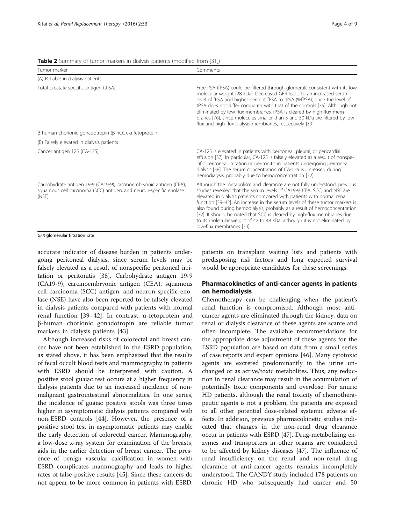<span id="page-3-0"></span>Table 2 Summary of tumor markers in dialysis patients (modified from [[31](#page-7-0)])

| Tumor marker                                                                                                                                       | Comments                                                                                                                                                                                                                                                                                                                                                                                                                                                                                                                                                                      |  |  |  |
|----------------------------------------------------------------------------------------------------------------------------------------------------|-------------------------------------------------------------------------------------------------------------------------------------------------------------------------------------------------------------------------------------------------------------------------------------------------------------------------------------------------------------------------------------------------------------------------------------------------------------------------------------------------------------------------------------------------------------------------------|--|--|--|
| (A) Reliable in dialysis patients                                                                                                                  |                                                                                                                                                                                                                                                                                                                                                                                                                                                                                                                                                                               |  |  |  |
| Total prostate-specific antigen (tPSA)                                                                                                             | Free PSA (fPSA) could be filtered through glomeruli, consistent with its low<br>molecular weight (28 kDa). Decreased GFR leads to an increased serum<br>level of fPSA and higher percent fPSA to tPSA (%fPSA), since the level of<br>tPSA does not differ compared with that of the controls [35]. Although not<br>eliminated by low-flux membranes, fPSA is cleared by high-flux mem-<br>branes [76], since molecules smaller than 5 and 50 kDa are filtered by low-<br>flux and high-flux dialysis membranes, respectively [39].                                            |  |  |  |
| β-human chorionic gonadotropin (β-hCG), α-fetoprotein                                                                                              |                                                                                                                                                                                                                                                                                                                                                                                                                                                                                                                                                                               |  |  |  |
| (B) Falsely elevated in dialysis patients                                                                                                          |                                                                                                                                                                                                                                                                                                                                                                                                                                                                                                                                                                               |  |  |  |
| Cancer antigen 125 (CA-125)                                                                                                                        | CA-125 is elevated in patients with peritoneal, pleural, or pericardial<br>effusion [37]. In particular, CA-125 is falsely elevated as a result of nonspe-<br>cific peritoneal irritation or peritonitis in patients undergoing peritoneal<br>dialysis [38]. The serum concentration of CA-125 is increased during<br>hemodialysis, probably due to hemoconcentration [32].                                                                                                                                                                                                   |  |  |  |
| Carbohydrate antigen 19-9 (CA19-9), carcinoembryonic antigen (CEA),<br>squamous cell carcinoma (SCC) antigen, and neuron-specific enolase<br>(NSE) | Although the metabolism and clearance are not fully understood, previous<br>studies revealed that the serum levels of CA19-9, CEA, SCC, and NSE are<br>elevated in dialysis patients compared with patients with normal renal<br>function [39-42]. An increase in the serum levels of these tumor markers is<br>also found during hemodialysis, probably as a result of hemoconcentration<br>[32]. It should be noted that SCC is cleared by high-flux membranes due<br>to its molecular weight of 42 to 48 kDa, although it is not eliminated by<br>low-flux membranes [33]. |  |  |  |

GFR glomerular filtration rate

accurate indicator of disease burden in patients undergoing peritoneal dialysis, since serum levels may be falsely elevated as a result of nonspecific peritoneal irritation or peritonitis [[38\]](#page-7-0). Carbohydrate antigen 19-9 (CA19-9), carcinoembryonic antigen (CEA), squamous cell carcinoma (SCC) antigen, and neuron-specific enolase (NSE) have also been reported to be falsely elevated in dialysis patients compared with patients with normal renal function [[39](#page-7-0)–[42](#page-7-0)]. In contrast, α-fetoprotein and β-human chorionic gonadotropin are reliable tumor markers in dialysis patients [\[43](#page-7-0)].

Although increased risks of colorectal and breast cancer have not been established in the ESRD population, as stated above, it has been emphasized that the results of fecal occult blood tests and mammography in patients with ESRD should be interpreted with caution. A positive stool guaiac test occurs at a higher frequency in dialysis patients due to an increased incidence of nonmalignant gastrointestinal abnormalities. In one series, the incidence of guaiac positive stools was three times higher in asymptomatic dialysis patients compared with non-ESRD controls [[44\]](#page-7-0). However, the presence of a positive stool test in asymptomatic patients may enable the early detection of colorectal cancer. Mammography, a low-dose x-ray system for examination of the breasts, aids in the earlier detection of breast cancer. The presence of benign vascular calcification in women with ESRD complicates mammography and leads to higher rates of false-positive results [\[45](#page-7-0)]. Since these cancers do not appear to be more common in patients with ESRD,

patients on transplant waiting lists and patients with predisposing risk factors and long expected survival would be appropriate candidates for these screenings.

# Pharmacokinetics of anti-cancer agents in patients on hemodialysis

Chemotherapy can be challenging when the patient's renal function is compromised. Although most anticancer agents are eliminated through the kidney, data on renal or dialysis clearance of these agents are scarce and often incomplete. The available recommendations for the appropriate dose adjustment of these agents for the ESRD population are based on data from a small series of case reports and expert opinions [[46\]](#page-7-0). Many cytotoxic agents are excreted predominantly in the urine unchanged or as active/toxic metabolites. Thus, any reduction in renal clearance may result in the accumulation of potentially toxic components and overdose. For anuric HD patients, although the renal toxicity of chemotherapeutic agents is not a problem, the patients are exposed to all other potential dose-related systemic adverse effects. In addition, previous pharmacokinetic studies indicated that changes in the non-renal drug clearance occur in patients with ESRD [\[47](#page-7-0)]. Drug-metabolizing enzymes and transporters in other organs are considered to be affected by kidney diseases [\[47\]](#page-7-0). The influence of renal insufficiency on the renal and non-renal drug clearance of anti-cancer agents remains incompletely understood. The CANDY study included 178 patients on chronic HD who subsequently had cancer and 50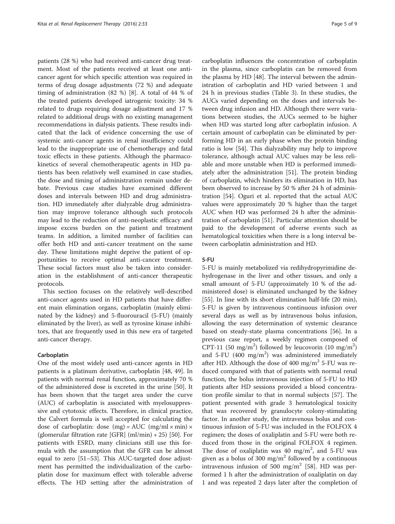patients (28 %) who had received anti-cancer drug treatment. Most of the patients received at least one anticancer agent for which specific attention was required in terms of drug dosage adjustments (72 %) and adequate timing of administration (82 %) [[8\]](#page-7-0). A total of 44 % of the treated patients developed iatrogenic toxicity: 34 % related to drugs requiring dosage adjustment and 17 % related to additional drugs with no existing management recommendations in dialysis patients. These results indicated that the lack of evidence concerning the use of systemic anti-cancer agents in renal insufficiency could lead to the inappropriate use of chemotherapy and fatal toxic effects in these patients. Although the pharmacokinetics of several chemotherapeutic agents in HD patients has been relatively well examined in case studies, the dose and timing of administration remain under debate. Previous case studies have examined different doses and intervals between HD and drug administration. HD immediately after dialyzable drug administration may improve tolerance although such protocols may lead to the reduction of anti-neoplastic efficacy and impose excess burden on the patient and treatment teams. In addition, a limited number of facilities can offer both HD and anti-cancer treatment on the same day. These limitations might deprive the patient of opportunities to receive optimal anti-cancer treatment. These social factors must also be taken into consideration in the establishment of anti-cancer therapeutic protocols.

This section focuses on the relatively well-described anti-cancer agents used in HD patients that have different main elimination organs, carboplatin (mainly eliminated by the kidney) and 5-fluorouracil (5-FU) (mainly eliminated by the liver), as well as tyrosine kinase inhibitors, that are frequently used in this new era of targeted anti-cancer therapy.

#### Carboplatin

One of the most widely used anti-cancer agents in HD patients is a platinum derivative, carboplatin [[48, 49](#page-7-0)]. In patients with normal renal function, approximately 70 % of the administered dose is excreted in the urine [[50](#page-7-0)]. It has been shown that the target area under the curve (AUC) of carboplatin is associated with myelosuppressive and cytotoxic effects. Therefore, in clinical practice, the Calvert formula is well accepted for calculating the dose of carboplatin: dose  $(mg) = AUC (mg/ml \times min) \times$ (glomerular filtration rate [GFR]  $(ml/min) + 25$ ] [\[50](#page-7-0)]. For patients with ESRD, many clinicians still use this formula with the assumption that the GFR can be almost equal to zero [[51](#page-7-0)–[53](#page-8-0)]. This AUC-targeted dose adjustment has permitted the individualization of the carboplatin dose for maximum effect with tolerable adverse effects. The HD setting after the administration of

carboplatin influences the concentration of carboplatin in the plasma, since carboplatin can be removed from the plasma by HD [[48](#page-7-0)]. The interval between the administration of carboplatin and HD varied between 1 and 24 h in previous studies (Table [3](#page-5-0)). In these studies, the AUCs varied depending on the doses and intervals between drug infusion and HD. Although there were variations between studies, the AUCs seemed to be higher when HD was started long after carboplatin infusion. A certain amount of carboplatin can be eliminated by performing HD in an early phase when the protein binding ratio is low [[54\]](#page-8-0). This dialyzability may help to improve tolerance, although actual AUC values may be less reliable and more unstable when HD is performed immediately after the administration [\[51](#page-7-0)]. The protein binding of carboplatin, which hinders its elimination in HD, has been observed to increase by 50 % after 24 h of administration [[54\]](#page-8-0). Oguri et al. reported that the actual AUC values were approximately 20 % higher than the target AUC when HD was performed 24 h after the administration of carboplatin [\[51](#page-7-0)]. Particular attention should be paid to the development of adverse events such as hematological toxicities when there is a long interval between carboplatin administration and HD.

### 5-FU

5-FU is mainly metabolized via redihydropyrimidine dehydrogenase in the liver and other tissues, and only a small amount of 5-FU (approximately 10 % of the administered dose) is eliminated unchanged by the kidney [[55\]](#page-8-0). In line with its short elimination half-life (20 min), 5-FU is given by intravenous continuous infusion over several days as well as by intravenous bolus infusion, allowing the easy determination of systemic clearance based on steady-state plasma concentrations [\[56](#page-8-0)]. In a previous case report, a weekly regimen composed of CPT-11 (50 mg/m<sup>2</sup>) followed by leucovorin (10 mg/m<sup>2</sup>) and 5-FU (400  $mg/m^2$ ) was administered immediately after HD. Although the dose of 400 mg/m<sup>2</sup> 5-FU was reduced compared with that of patients with normal renal function, the bolus intravenous injection of 5-FU to HD patients after HD sessions provided a blood concentration profile similar to that in normal subjects [\[57](#page-8-0)]. The patient presented with grade 3 hematological toxicity that was recovered by granulocyte colony-stimulating factor. In another study, the intravenous bolus and continuous infusion of 5-FU was included in the FOLFOX 4 regimen; the doses of oxaliplatin and 5-FU were both reduced from those in the original FOLFOX 4 regimen. The dose of oxaliplatin was 40 mg/m<sup>2</sup>, and 5-FU was given as a bolus of 300 mg/ $m<sup>2</sup>$  followed by a continuous intravenous infusion of 500 mg/m<sup>2</sup> [[58\]](#page-8-0). HD was performed 1 h after the administration of oxaliplatin on day 1 and was repeated 2 days later after the completion of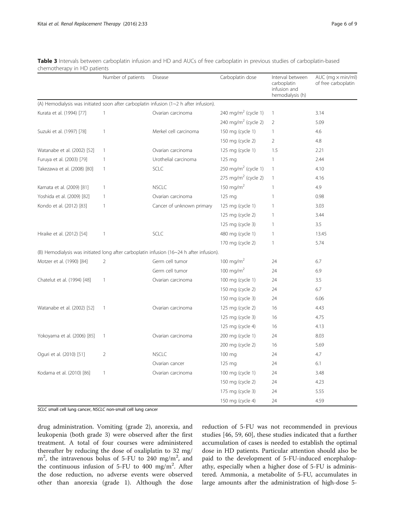|                             | Number of patients | Disease                                                                                    | Carboplatin dose                | Interval between<br>carboplatin<br>infusion and<br>hemodialysis (h) | $AUC$ (mg $\times$ min/ml)<br>of free carboplatin |
|-----------------------------|--------------------|--------------------------------------------------------------------------------------------|---------------------------------|---------------------------------------------------------------------|---------------------------------------------------|
|                             |                    | (A) Hemodialysis was initiated soon after carboplatin infusion ( $1~2~$ h after infusion). |                                 |                                                                     |                                                   |
| Kurata et al. (1994) [77]   |                    | Ovarian carcinoma                                                                          | 240 mg/m <sup>2</sup> (cycle 1) | $\overline{1}$                                                      | 3.14                                              |
|                             |                    |                                                                                            | 240 mg/m <sup>2</sup> (cycle 2) | 2                                                                   | 5.09                                              |
| Suzuki et al. (1997) [78]   | $\mathbf{1}$       | Merkel cell carcinoma                                                                      | 150 mg (cycle 1)                | 1                                                                   | 4.6                                               |
|                             |                    |                                                                                            | 150 mg (cycle 2)                | 2                                                                   | 4.8                                               |
| Watanabe et al. (2002) [52] | 1                  | Ovarian carcinoma                                                                          | 125 mg (cycle 1)                | 1.5                                                                 | 2.21                                              |
| Furuya et al. (2003) [79]   | 1                  | Urothelial carcinoma                                                                       | 125 mg                          |                                                                     | 2.44                                              |
| Takezawa et al. (2008) [80] | $\mathbf{1}$       | <b>SCLC</b>                                                                                | 250 mg/m <sup>2</sup> (cycle 1) |                                                                     | 4.10                                              |
|                             |                    |                                                                                            | 275 mg/m <sup>2</sup> (cycle 2) | $\overline{1}$                                                      | 4.16                                              |
| Kamata et al. (2009) [81]   | $\mathbf{1}$       | <b>NSCLC</b>                                                                               | 150 mg/m <sup>2</sup>           |                                                                     | 4.9                                               |
| Yoshida et al. (2009) [82]  | $\mathbf{1}$       | Ovarian carcinoma                                                                          | 125 mg                          |                                                                     | 0.98                                              |
| Kondo et al. (2012) [83]    | $\mathbf{1}$       | Cancer of unknown primary                                                                  | 125 mg (cycle 1)                | 1                                                                   | 3.03                                              |
|                             |                    |                                                                                            | 125 mg (cycle 2)                | 1                                                                   | 3.44                                              |
|                             |                    |                                                                                            | 125 mg (cycle 3)                |                                                                     | 3.5                                               |
| Hiraike et al. (2012) [54]  | 1                  | SCLC                                                                                       | 480 mg (cycle 1)                | 1                                                                   | 13.45                                             |
|                             |                    |                                                                                            | 170 mg (cycle 2)                | 1                                                                   | 5.74                                              |
|                             |                    | (B) Hemodialysis was initiated long after carboplatin infusion (16~24 h after infusion).   |                                 |                                                                     |                                                   |
| Motzer et al. (1990) [84]   | $\overline{2}$     | Germ cell tumor                                                                            | 100 mg/m $^2$                   | 24                                                                  | 6.7                                               |
|                             |                    | Germ cell tumor                                                                            | 100 mg/m <sup>2</sup>           | 24                                                                  | 6.9                                               |
| Chatelut et al. (1994) [48] | $\mathbf{1}$       | Ovarian carcinoma                                                                          | 100 mg (cycle 1)                | 24                                                                  | 3.5                                               |
|                             |                    |                                                                                            | 150 mg (cycle 2)                | 24                                                                  | 6.7                                               |
|                             |                    |                                                                                            | 150 mg (cycle 3)                | 24                                                                  | 6.06                                              |
| Watanabe et al. (2002) [52] | $\mathbf{1}$       | Ovarian carcinoma                                                                          | 125 mg (cycle 2)                | 16                                                                  | 4.43                                              |
|                             |                    |                                                                                            | 125 mg (cycle 3)                | 16                                                                  | 4.75                                              |

<span id="page-5-0"></span>Table 3 Intervals chemotherapy in

Yokoyama et al. (2006) [[85](#page-8-0)] 1 Ovarian carcinoma 200 mg (cycle 1) 24 8.03

Oguri et al. (2010) [\[51](#page-7-0)] 2 NSCLC 100 mg 24 4.7

Kodama et al. (2010) [[86](#page-8-0)] 1 Coarian carcinoma 100 mg (cycle 1) 24 3.48

SCLC small cell lung cancer, NSCLC non-small cell lung cancer

drug administration. Vomiting (grade 2), anorexia, and leukopenia (both grade 3) were observed after the first treatment. A total of four courses were administered thereafter by reducing the dose of oxaliplatin to 32 mg/  $m<sup>2</sup>$ , the intravenous bolus of 5-FU to 240 mg/m<sup>2</sup>, and the continuous infusion of 5-FU to 400 mg/m<sup>2</sup>. After the dose reduction, no adverse events were observed other than anorexia (grade 1). Although the dose reduction of 5-FU was not recommended in previous studies [\[46](#page-7-0), [59](#page-8-0), [60](#page-8-0)], these studies indicated that a further accumulation of cases is needed to establish the optimal dose in HD patients. Particular attention should also be paid to the development of 5-FU-induced encephalopathy, especially when a higher dose of 5-FU is administered. Ammonia, a metabolite of 5-FU, accumulates in large amounts after the administration of high-dose 5-

125 mg (cycle 4) 16 4.13

200 mg (cycle 2) 16 5.69

150 mg (cycle 2) 24 4.23 175 mg (cycle 3) 24 5.55 150 mg (cycle 4) 24 4.59

Ovarian cancer 125 mg 24 6.1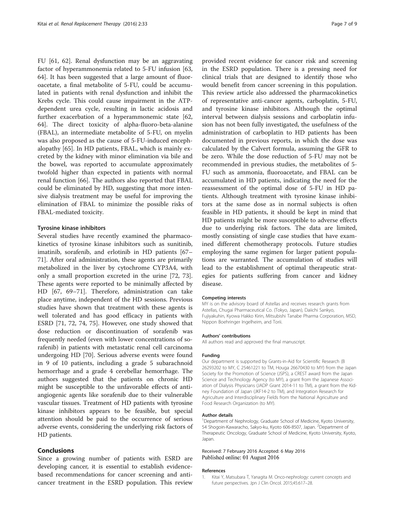<span id="page-6-0"></span>FU [[61, 62\]](#page-8-0). Renal dysfunction may be an aggravating factor of hyperammonemia related to 5-FU infusion [[63](#page-8-0), [64\]](#page-8-0). It has been suggested that a large amount of fluoroacetate, a final metabolite of 5-FU, could be accumulated in patients with renal dysfunction and inhibit the Krebs cycle. This could cause impairment in the ATPdependent urea cycle, resulting in lactic acidosis and further exacerbation of a hyperammonemic state [[62](#page-8-0), [64\]](#page-8-0). The direct toxicity of alpha-fluoro-beta-alanine (FBAL), an intermediate metabolite of 5-FU, on myelin was also proposed as the cause of 5-FU-induced encephalopathy [\[65](#page-8-0)]. In HD patients, FBAL, which is mainly excreted by the kidney with minor elimination via bile and the bowel, was reported to accumulate approximately twofold higher than expected in patients with normal renal function [\[66](#page-8-0)]. The authors also reported that FBAL could be eliminated by HD, suggesting that more intensive dialysis treatment may be useful for improving the elimination of FBAL to minimize the possible risks of FBAL-mediated toxicity.

#### Tyrosine kinase inhibitors

Several studies have recently examined the pharmacokinetics of tyrosine kinase inhibitors such as sunitinib, imatinib, sorafenib, and erlotinib in HD patients [[67](#page-8-0)– [71\]](#page-8-0). After oral administration, these agents are primarily metabolized in the liver by cytochrome CYP3A4, with only a small proportion excreted in the urine [\[72, 73](#page-8-0)]. These agents were reported to be minimally affected by HD [\[67](#page-8-0), [69](#page-8-0)–[71](#page-8-0)]. Therefore, administration can take place anytime, independent of the HD sessions. Previous studies have shown that treatment with these agents is well tolerated and has good efficacy in patients with ESRD [\[71](#page-8-0), [72](#page-8-0), [74, 75\]](#page-8-0). However, one study showed that dose reduction or discontinuation of sorafenib was frequently needed (even with lower concentrations of sorafenib) in patients with metastatic renal cell carcinoma undergoing HD [\[70](#page-8-0)]. Serious adverse events were found in 9 of 10 patients, including a grade 5 subarachnoid hemorrhage and a grade 4 cerebellar hemorrhage. The authors suggested that the patients on chronic HD might be susceptible to the unfavorable effects of antiangiogenic agents like sorafenib due to their vulnerable vascular tissues. Treatment of HD patients with tyrosine kinase inhibitors appears to be feasible, but special attention should be paid to the occurrence of serious adverse events, considering the underlying risk factors of HD patients.

# Conclusions

Since a growing number of patients with ESRD are developing cancer, it is essential to establish evidencebased recommendations for cancer screening and anticancer treatment in the ESRD population. This review

provided recent evidence for cancer risk and screening in the ESRD population. There is a pressing need for clinical trials that are designed to identify those who would benefit from cancer screening in this population. This review article also addressed the pharmacokinetics of representative anti-cancer agents, carboplatin, 5-FU, and tyrosine kinase inhibitors. Although the optimal interval between dialysis sessions and carboplatin infusion has not been fully investigated, the usefulness of the administration of carboplatin to HD patients has been documented in previous reports, in which the dose was calculated by the Calvert formula, assuming the GFR to be zero. While the dose reduction of 5-FU may not be recommended in previous studies, the metabolites of 5- FU such as ammonia, fluoroacetate, and FBAL can be accumulated in HD patients, indicating the need for the reassessment of the optimal dose of 5-FU in HD patients. Although treatment with tyrosine kinase inhibitors at the same dose as in normal subjects is often feasible in HD patients, it should be kept in mind that HD patients might be more susceptible to adverse effects due to underlying risk factors. The data are limited, mostly consisting of single case studies that have examined different chemotherapy protocols. Future studies employing the same regimen for larger patient populations are warranted. The accumulation of studies will lead to the establishment of optimal therapeutic strategies for patients suffering from cancer and kidney disease.

#### Competing interests

MY is on the advisory board of Astellas and receives research grants from Astellas, Chugai Pharmaceutical Co. (Tokyo, Japan), Daiichi Sankyo, Fujiyakuhin, Kyowa Hakko Kirin, Mitsubishi Tanabe Pharma Corporation, MSD, Nippon Boehringer Ingelheim, and Torii.

#### Authors' contributions

All authors read and approved the final manuscript.

#### Funding

Our department is supported by Grants-in-Aid for Scientific Research (B 26293202 to MY, C 25461221 to TM, Houga 26670430 to MY) from the Japan Society for the Promotion of Science (JSPS), a CREST award from the Japan Science and Technology Agency (to MY), a grant from the Japanese Association of Dialysis Physicians (JADP Grant 2014-11 to TM), a grant from the Kidney Foundation of Japan (JKF14-2 to TM), and Integration Research for Agriculture and Interdisciplinary Fields from the National Agriculture and Food Research Organization (to MY).

#### Author details

<sup>1</sup>Department of Nephrology, Graduate School of Medicine, Kyoto University 54 Shogoin-Kawaracho, Sakyo-ku, Kyoto 606-8507, Japan. <sup>2</sup>Department of Therapeutic Oncology, Graduate School of Medicine, Kyoto University, Kyoto, Japan.

#### Received: 7 February 2016 Accepted: 6 May 2016 Published online: 01 August 2016

#### References

1. Kitai Y, Matsubara T, Yanagita M. Onco-nephrology: current concepts and future perspectives. Jpn J Clin Oncol. 2015;45:617–28.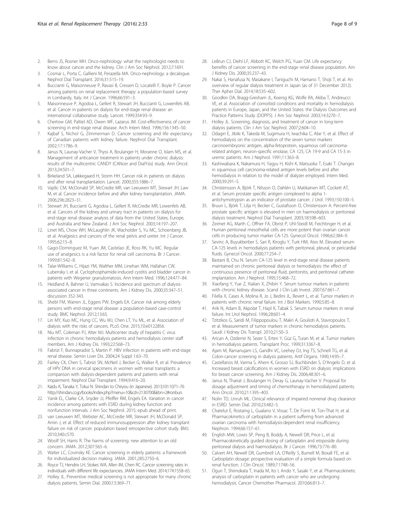- <span id="page-7-0"></span>2. Berns JS, Rosner MH. Onco-nephrology: what the nephrologist needs to know about cancer and the kidney. Clin J Am Soc Nephrol. 2012;7:1691.
- 3. Cosmai L, Porta C, Gallieni M, Perazella MA. Onco-nephrology: a decalogue. Nephrol Dial Transplant. 2016;31:515–19.
- 4. Buccianti G, Maisonneuve P, Ravasi B, Cresseri D, Locatelli F, Boyle P. Cancer among patients on renal replacement therapy: a population-based survey in Lombardy, Italy. Int J Cancer. 1996;66:591–3.
- Maisonneuve P, Agodoa L, Gellert R, Stewart JH, Buccianti G, Lowenfels AB, et al. Cancer in patients on dialysis for end-stage renal disease: an international collaborative study. Lancet. 1999;354:93–9.
- 6. Chertow GM, Paltiel AD, Owen WF, Lazarus JM. Cost-effectiveness of cancer screening in end-stage renal disease. Arch Intern Med. 1996;156:1345–50.
- 7. Kajbaf S, Nichol G, Zimmerman D. Cancer screening and life expectancy of Canadian patients with kidney failure. Nephrol Dial Transplant. 2002;17:1786–9.
- Janus N, Launay-Vacher V, Thyss A, Boulanger H, Moranne O, Islam MS, et al. Management of anticancer treatment in patients under chronic dialysis: results of the multicentric CANDY (CANcer and DialYsis) study. Ann Oncol. 2013;24:501–7.
- 9. Birkeland SA, Løkkegaard H, Storm HH. Cancer risk in patients on dialysis and after renal transplantation. Lancet. 2000;355:1886–7.
- 10. Vajdic CM, McDonald SP, McCredie MR, van Leeuwen MT, Stewart JH, Law M, et al. Cancer incidence before and after kidney transplantation. JAMA. 2006;296:2823–31.
- 11. Stewart JH, Buccianti G, Agodoa L, Gellert R, McCredie MR, Lowenfels AB, et al. Cancers of the kidney and urinary tract in patients on dialysis for end-stage renal disease: analysis of data from the United States, Europe, and Australia and New Zealand. J Am Soc Nephrol. 2003;14:197–207.
- 12. Linet MS, Chow WH, McLaughlin JK, Wacholder S, Yu MC, Schoenberg JB, et al. Analgesics and cancers of the renal pelvis and ureter. Int J Cancer. 1995;62:15–8.
- 13. Gago-Dominguez M, Yuan JM, Castelao JE, Ross RK, Yu MC. Regular use of analgesics is a risk factor for renal cell carcinoma. Br J Cancer. 1999;81:542–8.
- 14. Talar-Williams C, Hijazi YM, Walther MM, Linehan WM, Hallahan CW, Lubensky I, et al. Cyclophosphamide-induced cystitis and bladder cancer in patients with Wegener granulomatosis. Ann Intern Med. 1996;124:477–84.
- 15. Heidland A, Bahner U, Vamvakas S. Incidence and spectrum of dialysisassociated cancer in three continents. Am J Kidney Dis. 2000;35:347–51. discussion 352-343.
- 16. Shebl FM, Warren JL, Eggers PW, Engels EA. Cancer risk among elderly persons with end-stage renal disease: a population-based case-control study. BMC Nephrol. 2012;13:65.
- 17. Lin MY, Kuo MC, Hung CC, Wu WJ, Chen LT, Yu ML, et al. Association of dialysis with the risks of cancers. PLoS One. 2015;10:e0122856.
- 18. Niu MT, Coleman PJ, Alter MJ. Multicenter study of hepatitis C virus infection in chronic hemodialysis patients and hemodialysis center staff members. Am J Kidney Dis. 1993;22:568–73.
- 19. Fabrizi F, Bunnapradist S, Martin P. HBV infection in patients with end-stage renal disease. Semin Liver Dis. 2004;24 Suppl 1:63–70.
- 20. Fairley CK, Chen S, Tabrizi SN, McNeil J, Becker G, Walker R, et al. Prevalence of HPV DNA in cervical specimens in women with renal transplants: a comparison with dialysis-dependent patients and patients with renal impairment. Nephrol Dial Transplant. 1994;9:416–20.
- 21. Kaidu K, Tanaka Y, Tokui N. Shindan to Chiryou (in Japanese). 2013;101:1071–76 <http://shindan.co.jp/books/index.php?menu=10&cd=2130700&kbn=2#ronbun>.
- 22. Yanik EL, Clarke CA, Snyder JJ, Pfeiffer RM, Engels EA. Variation in cancer incidence among patients with ESRD during kidney function and nonfunction intervals. J Am Soc Nephrol. 2015; epub ahead of print.
- 23. van Leeuwen MT, Webster AC, McCredie MR, Stewart JH, McDonald SP, Amin J, et al. Effect of reduced immunosuppression after kidney transplant failure on risk of cancer: population based retrospective cohort study. BMJ. 2010;340:c570.
- 24. Woolf SH, Harris R. The harms of screening: new attention to an old concern. JAMA. 2012;307:565–6.
- 25. Walter LC, Covinsky KE. Cancer screening in elderly patients: a framework for individualized decision making. JAMA. 2001;285:2750–6.
- 26. Royce TJ, Hendrix LH, Stokes WA, Allen IM, Chen RC. Cancer screening rates in individuals with different life expectancies. JAMA Intern Med. 2014;174:1558–65.
- 27. Holley JL. Preventive medical screening is not appropriate for many chronic dialysis patients. Semin Dial. 2000;13:369–71.
- 28. LeBrun CJ, Diehl LF, Abbott KC, Welch PG, Yuan CM. Life expectancy benefits of cancer screening in the end-stage renal disease population. Am J Kidney Dis. 2000;35:237–43.
- 29. Nakai S, Hanafusa N, Masakane I, Taniguchi M, Hamano T, Shoji T, et al. An overview of regular dialysis treatment in Japan (as of 31 December 2012). Ther Apher Dial. 2014;18:535–602.
- 30. Goodkin DA, Bragg-Gresham JL, Koenig KG, Wolfe RA, Akiba T, Andreucci VE, et al. Association of comorbid conditions and mortality in hemodialysis patients in Europe, Japan, and the United States: the Dialysis Outcomes and Practice Patterns Study (DOPPS). J Am Soc Nephrol. 2003;14:3270–7.
- 31. Holley JL. Screening, diagnosis, and treatment of cancer in long-term dialysis patients. Clin J Am Soc Nephrol. 2007;2:604–10.
- 32. Odagiri E, Jibiki K, Takeda M, Sugimura H, Iwachika C, Abe Y, et al. Effect of hemodialysis on the concentration of the seven tumor markers carcinoembryonic antigen, alpha-fetoprotein, squamous cell carcinomarelated antigen, neuron-specific enolase, CA 125, CA 19-9 and CA 15-3 in uremic patients. Am J Nephrol. 1991;11:363–8.
- 33. Kashiwabara K, Nakamura H, Yagyu H, Kishi K, Matsuoka T, Esaki T. Changes in squamous cell carcinoma-related antigen levels before and after hemodialysis in relation to the model of dialyzer employed. Intern Med. 2000;39:291–5.
- 34. Christensson A, Björk T, Nilsson O, Dahlén U, Matikainen MT, Cockett AT, et al. Serum prostate specific antigen complexed to alpha 1 antichymotrypsin as an indicator of prostate cancer. J Urol. 1993;150:100–5.
- 35. Bruun L, Björk T, Lilja H, Becker C, Gustafsson O, Christensson A. Percent-free prostate specific antigen is elevated in men on haemodialysis or peritoneal dialysis treatment. Nephrol Dial Transplant. 2003;18:598–603.
- 36. Zeimet AG, Marth C, Offner FA, Obrist P, Uhl-Steidl M, Feichtinger H, et al. Human peritoneal mesothelial cells are more potent than ovarian cancer cells in producing tumor marker CA-125. Gynecol Oncol. 1996;62:384–9.
- 37. Sevinc A, Buyukberber S, Sari R, Kiroglu Y, Turk HM, Ates M. Elevated serum CA-125 levels in hemodialysis patients with peritoneal, pleural, or pericardial fluids. Gynecol Oncol. 2000;77:254–7.
- 38. Bastani B, Chu N. Serum CA-125 level in end-stage renal disease patients maintained on chronic peritoneal dialysis or hemodialysis: the effect of continuous presence of peritoneal fluid, peritonitis, and peritoneal catheter implantation. Am J Nephrol. 1995;15:468–72.
- 39. Xiaofang Y, Yue Z, Xialian X, Zhibin Y. Serum tumour markers in patients with chronic kidney disease. Scand J Clin Lab Invest. 2007;67:661-7.
- 40. Filella X, Cases A, Molina R, Jo J, Bedini JL, Revert L, et al. Tumor markers in patients with chronic renal failure. Int J Biol Markers. 1990;5:85–8.
- 41. Arik N, Adam B, Akpolat T, Haşil K, Tabak S. Serum tumour markers in renal failure. Int Urol Nephrol. 1996;28:601–4.
- 42. Tzitzikos G, Saridi M, Filippopoulou T, Makri A, Goulioti A, Stavropoulos T, et al. Measurement of tumor markers in chronic hemodialysis patients. Saudi J Kidney Dis Transpl. 2010;21:50–3.
- 43. Arican A, Ozdemir N, Sezer S, Erten Y, Güz G, Turan M, et al. Tumor markers in hemodialysis patients. Transplant Proc. 1999;31:3367–8.
- 44. Ajam M, Ramanujam LS, Gandhi VC, Leehey DJ, Ing TS, Schnell TG, et al. Colon-cancer screening in dialysis patients. Artif Organs. 1990;14:95–7.
- 45. Castellanos M, Varma S, Ahern K, Grosso SJ, Buchbinder S, D'Angelo D, et al. Increased breast calcifications in women with ESRD on dialysis: implications for breast cancer screening. Am J Kidney Dis. 2006;48:301–6.
- 46. Janus N, Thariat J, Boulanger H, Deray G, Launay-Vacher V. Proposal for dosage adjustment and timing of chemotherapy in hemodialyzed patients. Ann Oncol. 2010;21:1395–403.
- 47. Nolin TD, Unruh ML. Clinical relevance of impaired nonrenal drug clearance in ESRD. Semin Dial. 2010;23:482–5.
- 48. Chatelut E, Rostaing L, Gualano V, Vissac T, De Forni M, Ton-That H, et al. Pharmacokinetics of carboplatin in a patient suffering from advanced ovarian carcinoma with hemodialysis-dependent renal insufficiency. Nephron. 1994;66:157–61.
- 49. English MW, Lowis SP, Peng B, Boddy A, Newell DR, Price L, et al. Pharmacokinetically guided dosing of carboplatin and etoposide during peritoneal dialysis and haemodialysis. Br J Cancer. 1996;73:776–80.
- 50. Calvert AH, Newell DR, Gumbrell LA, O'Reilly S, Burnell M, Boxall FE, et al. Carboplatin dosage: prospective evaluation of a simple formula based on renal function. J Clin Oncol. 1989;7:1748–56.
- 51. Oguri T, Shimokata T, Inada M, Ito I, Ando Y, Sasaki Y, et al. Pharmacokinetic analysis of carboplatin in patients with cancer who are undergoing hemodialysis. Cancer Chemother Pharmacol. 2010;66:813–7.